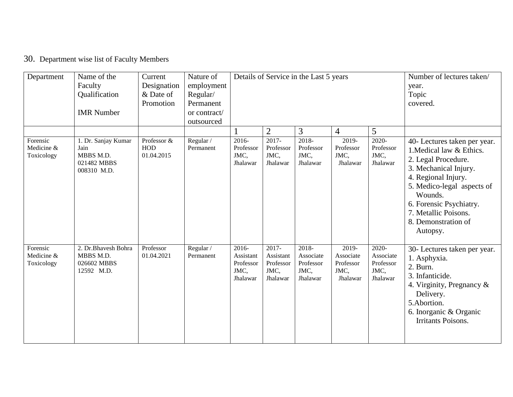## 30. Department wise list of Faculty Members

| Department                           | Name of the<br>Faculty<br>Qualification<br><b>IMR</b> Number           | Current<br>Designation<br>& Date of<br>Promotion | Nature of<br>employment<br>Regular/<br>Permanent<br>or contract/<br>outsourced |                                                        |                                                        | Details of Service in the Last 5 years                 | Number of lectures taken/<br>year.<br>Topic<br>covered. |                                                        |                                                                                                                                                                                                                                                                |
|--------------------------------------|------------------------------------------------------------------------|--------------------------------------------------|--------------------------------------------------------------------------------|--------------------------------------------------------|--------------------------------------------------------|--------------------------------------------------------|---------------------------------------------------------|--------------------------------------------------------|----------------------------------------------------------------------------------------------------------------------------------------------------------------------------------------------------------------------------------------------------------------|
|                                      |                                                                        |                                                  |                                                                                |                                                        | $\overline{2}$                                         | 3                                                      | $\overline{4}$                                          | 5                                                      |                                                                                                                                                                                                                                                                |
| Forensic<br>Medicine &<br>Toxicology | 1. Dr. Sanjay Kumar<br>Jain<br>MBBS M.D.<br>021482 MBBS<br>008310 M.D. | Professor &<br>HOD<br>01.04.2015                 | Regular /<br>Permanent                                                         | 2016-<br>Professor<br>JMC,<br>Jhalawar                 | 2017-<br>Professor<br>JMC,<br>Jhalawar                 | 2018-<br>Professor<br>JMC,<br>Jhalawar                 | 2019-<br>Professor<br>JMC,<br>Jhalawar                  | 2020-<br>Professor<br>JMC,<br>Jhalawar                 | 40- Lectures taken per year.<br>1. Medical law & Ethics.<br>2. Legal Procedure.<br>3. Mechanical Injury.<br>4. Regional Injury.<br>5. Medico-legal aspects of<br>Wounds.<br>6. Forensic Psychiatry.<br>7. Metallic Poisons.<br>8. Demonstration of<br>Autopsy. |
| Forensic<br>Medicine &<br>Toxicology | 2. Dr.Bhavesh Bohra<br>MBBS M.D.<br>026602 MBBS<br>12592 M.D.          | Professor<br>01.04.2021                          | Regular /<br>Permanent                                                         | $2016 -$<br>Assistant<br>Professor<br>JMC,<br>Jhalawar | $2017 -$<br>Assistant<br>Professor<br>JMC,<br>Jhalawar | $2018 -$<br>Associate<br>Professor<br>JMC,<br>Jhalawar | 2019-<br>Associate<br>Professor<br>JMC,<br>Jhalawar     | $2020 -$<br>Associate<br>Professor<br>JMC,<br>Jhalawar | 30- Lectures taken per year.<br>1. Asphyxia.<br>2. Burn.<br>3. Infanticide.<br>4. Virginity, Pregnancy $\&$<br>Delivery.<br>5.Abortion.<br>6. Inorganic & Organic<br><b>Irritants Poisons.</b>                                                                 |